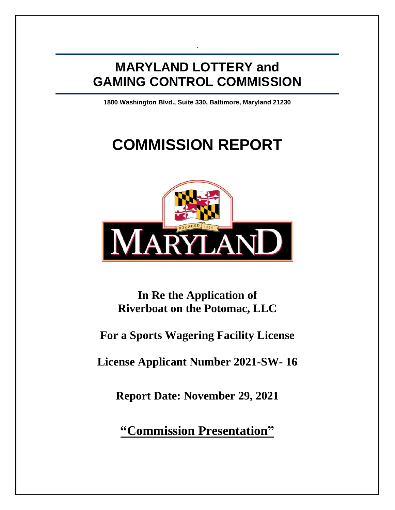# **MARYLAND LOTTERY and GAMING CONTROL COMMISSION**

.

**1800 Washington Blvd., Suite 330, Baltimore, Maryland 21230**

# **COMMISSION REPORT**



**In Re the Application of Riverboat on the Potomac, LLC**

# **For a Sports Wagering Facility License**

**License Applicant Number 2021-SW- 16**

**Report Date: November 29, 2021**

**"Commission Presentation"**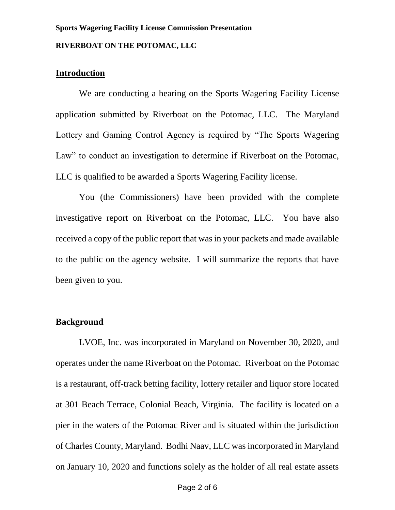# **Sports Wagering Facility License Commission Presentation RIVERBOAT ON THE POTOMAC, LLC**

## **Introduction**

We are conducting a hearing on the Sports Wagering Facility License application submitted by Riverboat on the Potomac, LLC. The Maryland Lottery and Gaming Control Agency is required by "The Sports Wagering Law" to conduct an investigation to determine if Riverboat on the Potomac, LLC is qualified to be awarded a Sports Wagering Facility license.

You (the Commissioners) have been provided with the complete investigative report on Riverboat on the Potomac, LLC. You have also received a copy of the public report that was in your packets and made available to the public on the agency website. I will summarize the reports that have been given to you.

## **Background**

LVOE, Inc. was incorporated in Maryland on November 30, 2020, and operates under the name Riverboat on the Potomac. Riverboat on the Potomac is a restaurant, off-track betting facility, lottery retailer and liquor store located at 301 Beach Terrace, Colonial Beach, Virginia. The facility is located on a pier in the waters of the Potomac River and is situated within the jurisdiction of Charles County, Maryland. Bodhi Naav, LLC was incorporated in Maryland on January 10, 2020 and functions solely as the holder of all real estate assets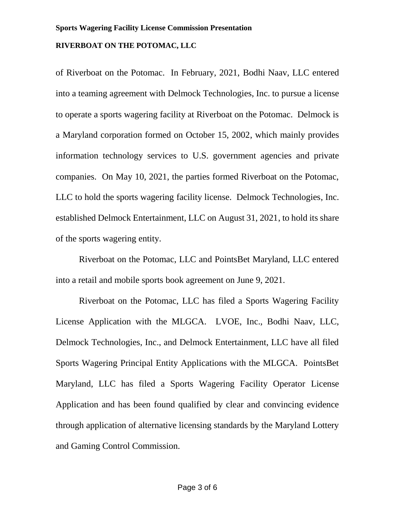#### **RIVERBOAT ON THE POTOMAC, LLC**

of Riverboat on the Potomac. In February, 2021, Bodhi Naav, LLC entered into a teaming agreement with Delmock Technologies, Inc. to pursue a license to operate a sports wagering facility at Riverboat on the Potomac. Delmock is a Maryland corporation formed on October 15, 2002, which mainly provides information technology services to U.S. government agencies and private companies. On May 10, 2021, the parties formed Riverboat on the Potomac, LLC to hold the sports wagering facility license. Delmock Technologies, Inc. established Delmock Entertainment, LLC on August 31, 2021, to hold its share of the sports wagering entity.

Riverboat on the Potomac, LLC and PointsBet Maryland, LLC entered into a retail and mobile sports book agreement on June 9, 2021.

Riverboat on the Potomac, LLC has filed a Sports Wagering Facility License Application with the MLGCA. LVOE, Inc., Bodhi Naav, LLC, Delmock Technologies, Inc., and Delmock Entertainment, LLC have all filed Sports Wagering Principal Entity Applications with the MLGCA. PointsBet Maryland, LLC has filed a Sports Wagering Facility Operator License Application and has been found qualified by clear and convincing evidence through application of alternative licensing standards by the Maryland Lottery and Gaming Control Commission.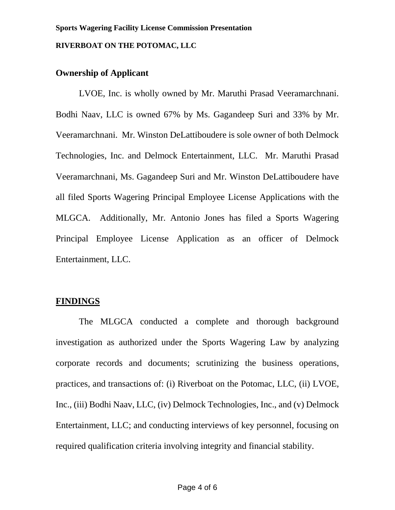### **RIVERBOAT ON THE POTOMAC, LLC**

# **Ownership of Applicant**

LVOE, Inc. is wholly owned by Mr. Maruthi Prasad Veeramarchnani. Bodhi Naav, LLC is owned 67% by Ms. Gagandeep Suri and 33% by Mr. Veeramarchnani. Mr. Winston DeLattiboudere is sole owner of both Delmock Technologies, Inc. and Delmock Entertainment, LLC. Mr. Maruthi Prasad Veeramarchnani, Ms. Gagandeep Suri and Mr. Winston DeLattiboudere have all filed Sports Wagering Principal Employee License Applications with the MLGCA. Additionally, Mr. Antonio Jones has filed a Sports Wagering Principal Employee License Application as an officer of Delmock Entertainment, LLC.

# **FINDINGS**

The MLGCA conducted a complete and thorough background investigation as authorized under the Sports Wagering Law by analyzing corporate records and documents; scrutinizing the business operations, practices, and transactions of: (i) Riverboat on the Potomac, LLC, (ii) LVOE, Inc., (iii) Bodhi Naav, LLC, (iv) Delmock Technologies, Inc., and (v) Delmock Entertainment, LLC; and conducting interviews of key personnel, focusing on required qualification criteria involving integrity and financial stability.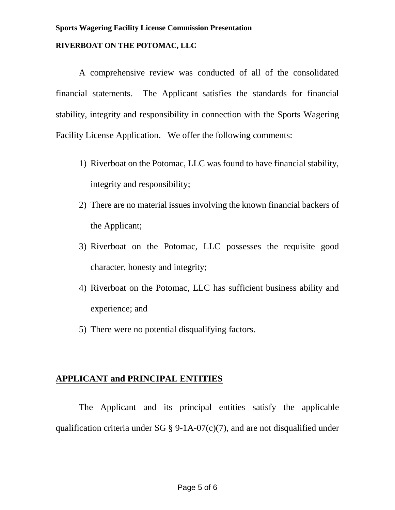#### **Sports Wagering Facility License Commission Presentation**

#### **RIVERBOAT ON THE POTOMAC, LLC**

A comprehensive review was conducted of all of the consolidated financial statements. The Applicant satisfies the standards for financial stability, integrity and responsibility in connection with the Sports Wagering Facility License Application. We offer the following comments:

- 1) Riverboat on the Potomac, LLC was found to have financial stability, integrity and responsibility;
- 2) There are no material issues involving the known financial backers of the Applicant;
- 3) Riverboat on the Potomac, LLC possesses the requisite good character, honesty and integrity;
- 4) Riverboat on the Potomac, LLC has sufficient business ability and experience; and
- 5) There were no potential disqualifying factors.

# **APPLICANT and PRINCIPAL ENTITIES**

The Applicant and its principal entities satisfy the applicable qualification criteria under SG  $\S$  9-1A-07(c)(7), and are not disqualified under